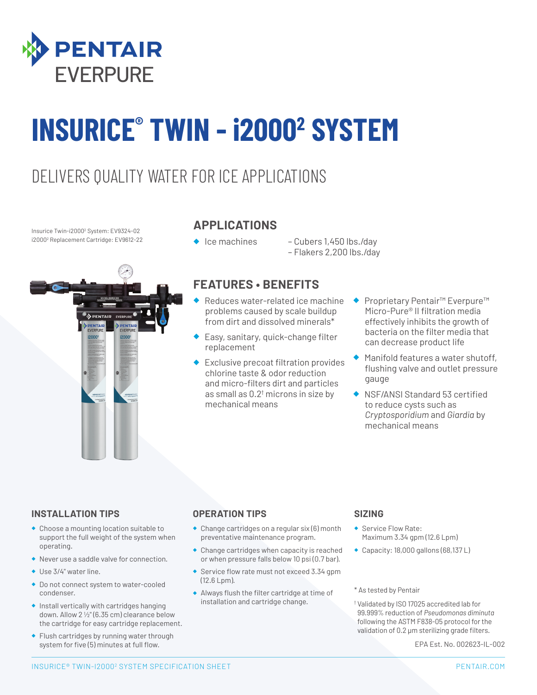

# **INSURICE® TWIN - i20002 SYSTEM**

### DELIVERS QUALITY WATER FOR ICE APPLICATIONS

Insurice Twin-i20002 System: EV9324-02 i20002 Replacement Cartridge: EV9612-22



#### **APPLICATIONS**

- 
- ◆ Ice machines Cubers 1,450 lbs./day – Flakers 2,200 lbs./day

#### **FEATURES • BENEFITS**

- Reduces water-related ice machine problems caused by scale buildup from dirt and dissolved minerals\*
- ◆ Easy, sanitary, quick-change filter replacement
- **Exclusive precoat filtration provides** chlorine taste & odor reduction and micro-filters dirt and particles as small as  $0.2^{\dagger}$  microns in size by mechanical means
- ◆ Proprietary Pentair<sup>™</sup> Everpure™ Micro-Pure® II filtration media effectively inhibits the growth of bacteria on the filter media that can decrease product life
- Manifold features a water shutoff, flushing valve and outlet pressure gauge
- ◆ NSF/ANSI Standard 53 certified to reduce cysts such as *Cryptosporidium* and *Giardia* by mechanical means

#### **INSTALLATION TIPS**

- ◆ Choose a mounting location suitable to support the full weight of the system when operating.
- ◆ Never use a saddle valve for connection.
- ◆ Use 3/4" water line.
- ◆ Do not connect system to water-cooled condenser.
- ◆ Install vertically with cartridges hanging down. Allow 2 1/2" (6.35 cm) clearance below the cartridge for easy cartridge replacement.
- ◆ Flush cartridges by running water through system for five (5) minutes at full flow.

#### **OPERATION TIPS**

- ◆ Change cartridges on a regular six (6) month preventative maintenance program.
- ◆ Change cartridges when capacity is reached or when pressure falls below 10 psi (0.7 bar).
- ◆ Service flow rate must not exceed 3.34 gpm (12.6 Lpm).
- ◆ Always flush the filter cartridge at time of installation and cartridge change.

#### **SIZING**

- ◆ Service Flow Rate: Maximum 3.34 gpm (12.6 Lpm)
- ◆ Capacity: 18,000 gallons (68,137 L)

#### \* As tested by Pentair

† Validated by ISO 17025 accredited lab for 99.999% reduction of *Pseudomonas diminuta* following the ASTM F838-05 protocol for the validation of 0.2 μm sterilizing grade filters.

EPA Est. No. 002623-IL-002